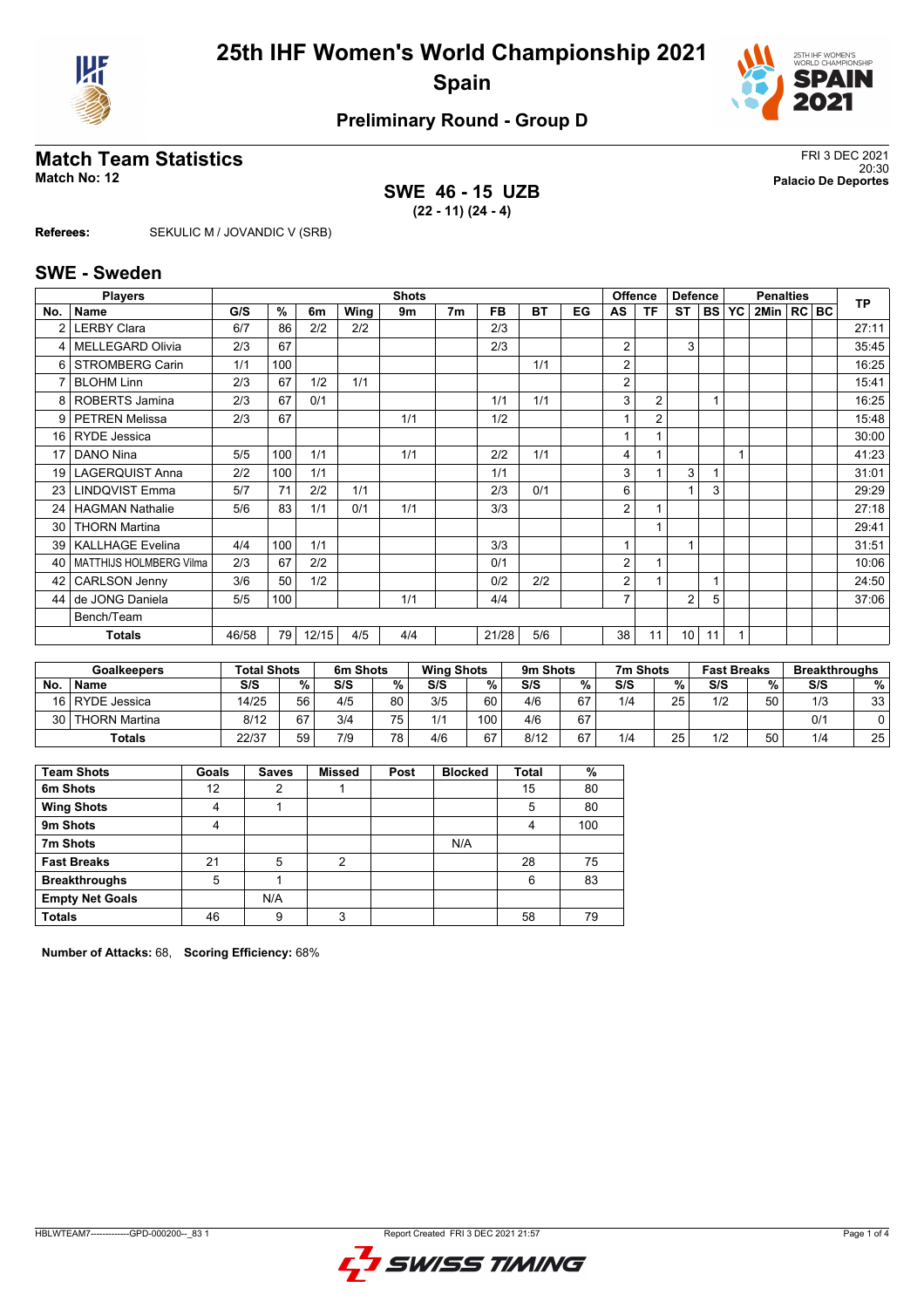



# **Match Team Statistics** FRI 3 DEC 2021<br>
20:30

## **SWE 46 - 15 UZB (22 - 11) (24 - 4)**

20:30 **Match No: 12 Palacio De Deportes**

**Referees:** SEKULIC M / JOVANDIC V (SRB)

#### **SWE - Sweden**

| <b>Shots</b><br><b>Players</b> |                         |       |     |       |      |     |                |           |           |    |                | <b>Offence</b><br><b>Defence</b> |                |           | <b>Penalties</b> |                |  |  | <b>TP</b> |
|--------------------------------|-------------------------|-------|-----|-------|------|-----|----------------|-----------|-----------|----|----------------|----------------------------------|----------------|-----------|------------------|----------------|--|--|-----------|
| No.                            | <b>Name</b>             | G/S   | %   | 6m    | Wing | 9m  | 7 <sub>m</sub> | <b>FB</b> | <b>BT</b> | EG | AS             | ΤF                               | ST             | <b>BS</b> | <b>YC</b>        | 2Min   RC   BC |  |  |           |
|                                | <b>LERBY Clara</b>      | 6/7   | 86  | 2/2   | 2/2  |     |                | 2/3       |           |    |                |                                  |                |           |                  |                |  |  | 27:11     |
| 4                              | <b>MELLEGARD Olivia</b> | 2/3   | 67  |       |      |     |                | 2/3       |           |    | 2              |                                  | 3              |           |                  |                |  |  | 35:45     |
| 6                              | STROMBERG Carin         | 1/1   | 100 |       |      |     |                |           | 1/1       |    | 2              |                                  |                |           |                  |                |  |  | 16:25     |
|                                | <b>BLOHM Linn</b>       | 2/3   | 67  | 1/2   | 1/1  |     |                |           |           |    | 2              |                                  |                |           |                  |                |  |  | 15:41     |
| 8                              | <b>ROBERTS Jamina</b>   | 2/3   | 67  | 0/1   |      |     |                | 1/1       | 1/1       |    | 3              | $\overline{2}$                   |                |           |                  |                |  |  | 16:25     |
| 9 <sup>1</sup>                 | <b>PETREN Melissa</b>   | 2/3   | 67  |       |      | 1/1 |                | 1/2       |           |    |                | $\overline{2}$                   |                |           |                  |                |  |  | 15:48     |
|                                | 16   RYDE Jessica       |       |     |       |      |     |                |           |           |    |                |                                  |                |           |                  |                |  |  | 30:00     |
| 17                             | DANO Nina               | 5/5   | 100 | 1/1   |      | 1/1 |                | 2/2       | 1/1       |    | 4              |                                  |                |           | $\overline{A}$   |                |  |  | 41:23     |
| 19 <sup>1</sup>                | LAGERQUIST Anna         | 2/2   | 100 | 1/1   |      |     |                | 1/1       |           |    | 3              |                                  | 3              |           |                  |                |  |  | 31:01     |
| 23                             | <b>LINDQVIST Emma</b>   | 5/7   | 71  | 2/2   | 1/1  |     |                | 2/3       | 0/1       |    | 6              |                                  | 1              | 3         |                  |                |  |  | 29:29     |
| 24                             | <b>HAGMAN Nathalie</b>  | 5/6   | 83  | 1/1   | 0/1  | 1/1 |                | 3/3       |           |    | $\overline{2}$ |                                  |                |           |                  |                |  |  | 27:18     |
| 30                             | <b>THORN Martina</b>    |       |     |       |      |     |                |           |           |    |                |                                  |                |           |                  |                |  |  | 29:41     |
| 39 <sup>°</sup>                | <b>KALLHAGE Evelina</b> | 4/4   | 100 | 1/1   |      |     |                | 3/3       |           |    |                |                                  | 1              |           |                  |                |  |  | 31:51     |
| 40                             | MATTHIJS HOLMBERG Vilma | 2/3   | 67  | 2/2   |      |     |                | 0/1       |           |    | 2              |                                  |                |           |                  |                |  |  | 10:06     |
| 42                             | <b>CARLSON Jenny</b>    | 3/6   | 50  | 1/2   |      |     |                | 0/2       | 2/2       |    | 2              |                                  |                |           |                  |                |  |  | 24:50     |
| 44                             | de JONG Daniela         | 5/5   | 100 |       |      | 1/1 |                | 4/4       |           |    | $\overline{7}$ |                                  | $\overline{2}$ | 5         |                  |                |  |  | 37:06     |
|                                | Bench/Team              |       |     |       |      |     |                |           |           |    |                |                                  |                |           |                  |                |  |  |           |
|                                | <b>Totals</b>           | 46/58 | 79  | 12/15 | 4/5  | 4/4 |                | 21/28     | 5/6       |    | 38             | 11                               | 10             | 11        |                  |                |  |  |           |

|      | Goalkeepers     | <b>Total Shots</b> |    | 6m Shots |      | <b>Wing Shots</b> |     | 9m Shots |    | 7m Shots |    | <b>Fast Breaks</b> |    | <b>Breakthroughs</b> |               |
|------|-----------------|--------------------|----|----------|------|-------------------|-----|----------|----|----------|----|--------------------|----|----------------------|---------------|
| No.  | <b>Name</b>     | S/S                | %  | S/S      | $\%$ | S/S               | %   | S/S      | %  | S/S      | %  | S/S                | %  | S/S                  | $\frac{9}{6}$ |
| 16 I | RYDE Jessica    | 14/25              | 56 | 4/5      | 80   | 3/5               | 60  | 4/6      | 67 | 1/4      | 25 | 1/2                | 50 | 1/3                  | 33            |
| 30   | l THORN Martina | 8/12               | 67 | 3/4      | 75   | 1/1               | 100 | 4/6      | 67 |          |    |                    |    | 0/1                  |               |
|      | <b>Totals</b>   | 22/37              | 59 | 7/9      | 78,  | 4/6               | 67  | 8/12     | 67 | 1/4      | 25 | 1/2                | 50 | 1/4                  | 25            |

| <b>Team Shots</b>      | Goals | <b>Saves</b> | <b>Missed</b> | Post | <b>Blocked</b> | Total | %   |
|------------------------|-------|--------------|---------------|------|----------------|-------|-----|
| 6m Shots               | 12    | 2            |               |      |                | 15    | 80  |
| <b>Wing Shots</b>      | 4     |              |               |      |                | 5     | 80  |
| 9m Shots               | 4     |              |               |      |                | 4     | 100 |
| 7m Shots               |       |              |               |      | N/A            |       |     |
| <b>Fast Breaks</b>     | 21    | 5            | 2             |      |                | 28    | 75  |
| <b>Breakthroughs</b>   | 5     |              |               |      |                | 6     | 83  |
| <b>Empty Net Goals</b> |       | N/A          |               |      |                |       |     |
| <b>Totals</b>          | 46    | 9            | 3             |      |                | 58    | 79  |

**Number of Attacks:** 68, **Scoring Efficiency:** 68%

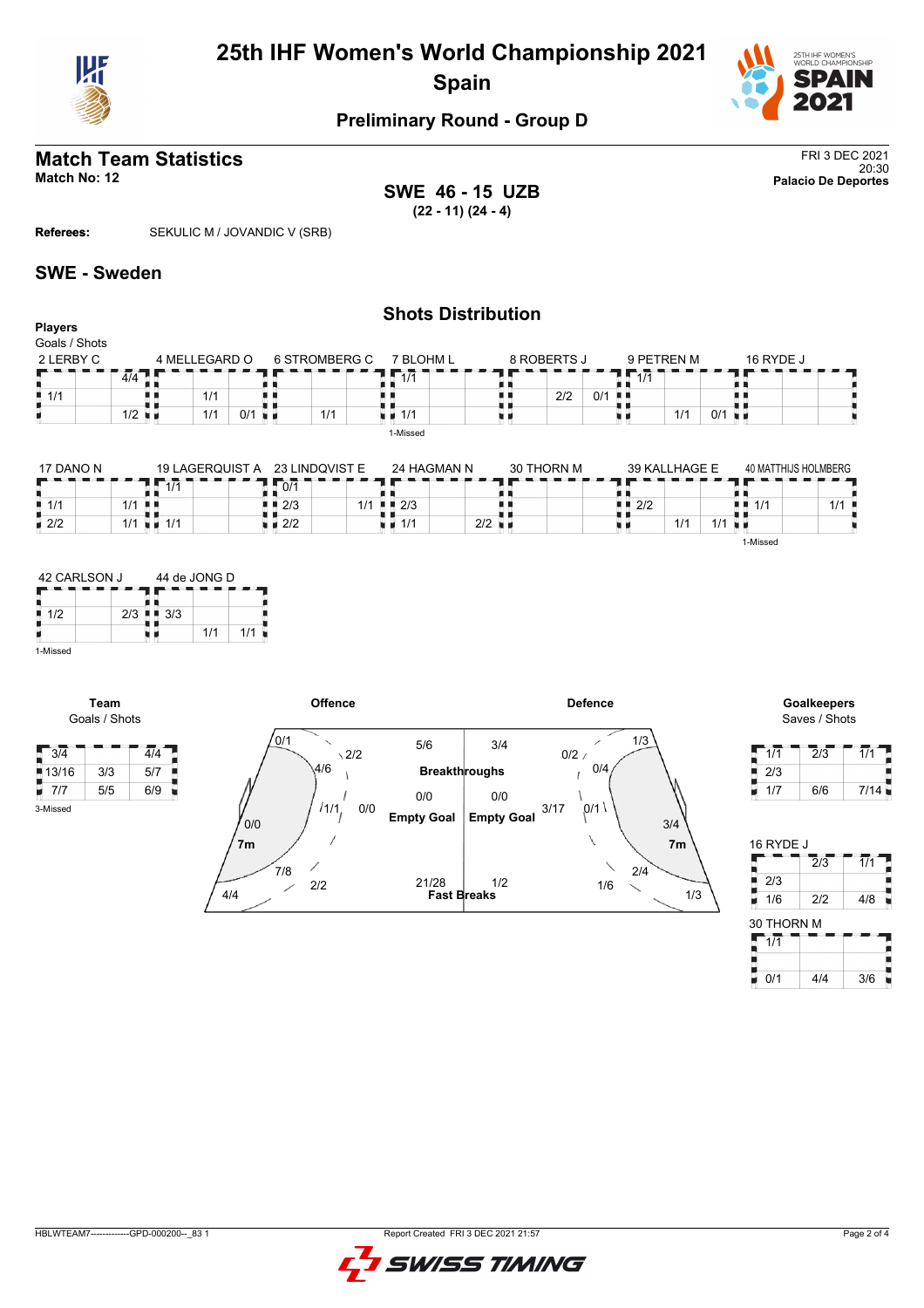



# **Match Team Statistics** FRI 3 DEC 2021

**SWE 46 - 15 UZB (22 - 11) (24 - 4)**

20:30 **Match No: 12 Palacio De Deportes**

**Referees:** SEKULIC M / JOVANDIC V (SRB)

### **SWE - Sweden**

#### **Shots Distribution Players** Goals / Shots 2 LERBY C 4 MELLEGARD O 7 BLOHM L 6 STROMBERG C  $8 \text{ ROBERTS J}$ 9 PETREN M 16 RYDE J  $7.17$  $7\overline{117}$  $4/4$  $\blacksquare$ п R 8 Œ 89  $\frac{1}{1}$  $\frac{1}{1/1}$  $\frac{1}{1}$  1/1 n n 1/1  $2/2$  0/1 H)  $1/1$  0/1  $1/2$  $1/1$  0/1 1/1 J u d uν 1-Missed

| 17 DANO N          |       | 19 LAGERQUIST A                   | 23 LINDQVIST E     |     | 24 HAGMAN N                       | 30 THORN M           |            | 39 KALLHAGE E |     |          | 40 MATTHIJS HOLMBERG |
|--------------------|-------|-----------------------------------|--------------------|-----|-----------------------------------|----------------------|------------|---------------|-----|----------|----------------------|
|                    |       | 111                               | 0/1                |     |                                   |                      |            |               |     |          |                      |
| $\blacksquare$ 1/1 | $1/1$ |                                   | $\blacksquare$ 2/3 | 1/1 | $\blacksquare$ $\blacksquare$ 2/3 |                      | 2/2<br>. . |               |     | ■■ 1/1   | 1/1                  |
| $\blacksquare$ 2/2 | 1/1   | $\blacksquare$ $\blacksquare$ 1/1 | $\blacksquare$ 2/2 |     | $\blacksquare$ 1/1                | $2/2$ $\blacksquare$ |            | 1/1           | 1/1 |          |                      |
|                    |       |                                   |                    |     |                                   |                      |            |               |     | 1-Missed |                      |



**Team**

3-Missed



Saves / Shots

| 1/1 | 2/3 | 1/1  |
|-----|-----|------|
| 2/3 |     |      |
| 1/7 | 6/6 | 7/14 |

| 16 RYDE J  |                  |     |
|------------|------------------|-----|
|            | $\overline{2}/3$ | 1/1 |
| 2/3        |                  |     |
| 1/6        | 2/2              | 4/8 |
| 30 THORN M |                  |     |
|            |                  |     |
| 1/1        |                  |     |
|            |                  |     |

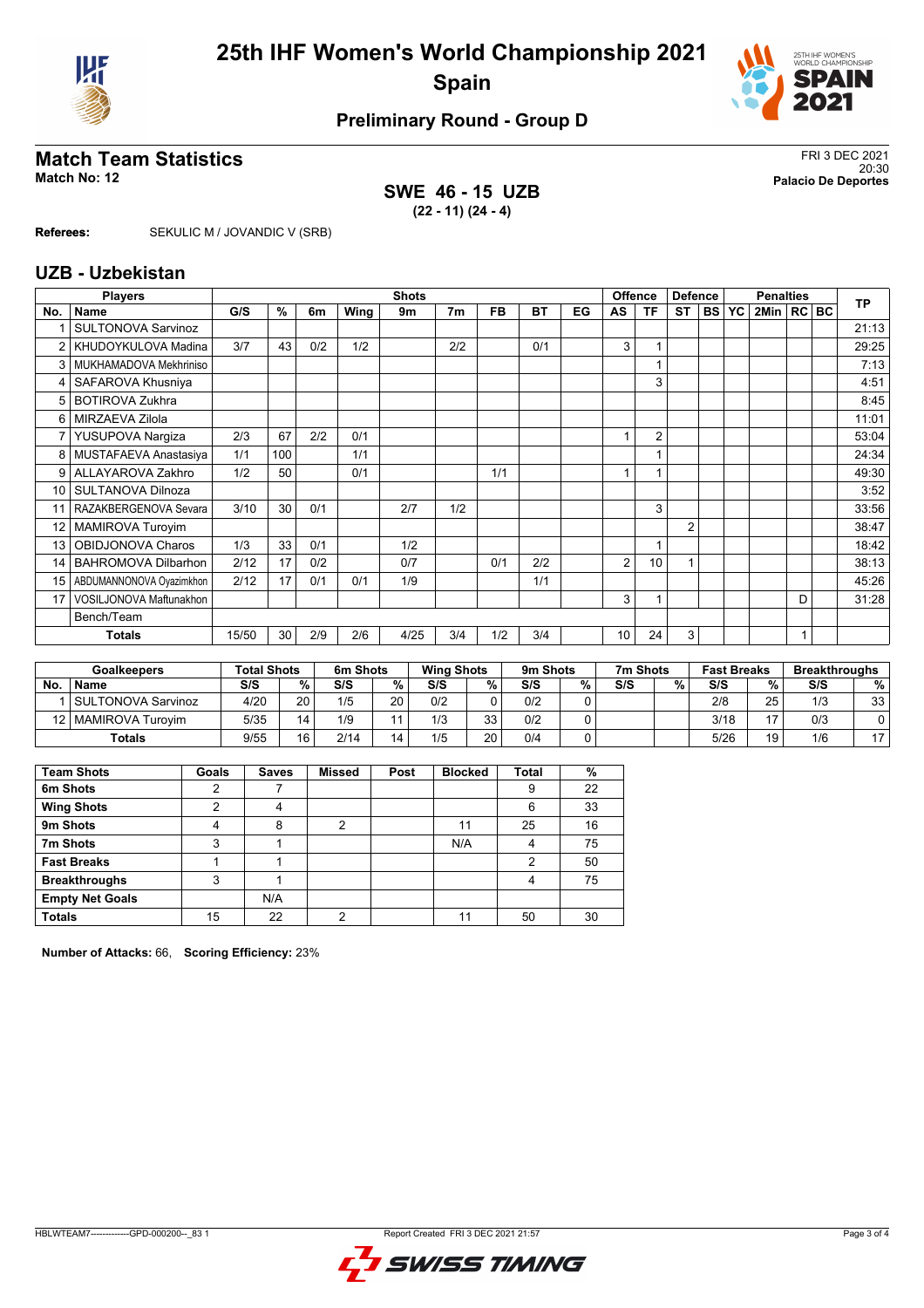



# **Match Team Statistics** FRI 3 DEC 2021<br>
20:30

## **SWE 46 - 15 UZB (22 - 11) (24 - 4)**

20:30 **Match No: 12 Palacio De Deportes**

**Referees:** SEKULIC M / JOVANDIC V (SRB)

#### **UZB - Uzbekistan**

|                 | <b>Players</b>             |       | <b>Shots</b> |     |      |      |     |           |           |    |    | Offence        | <b>Defence</b> |              | <b>Penalties</b> |                |              |  | <b>TP</b> |
|-----------------|----------------------------|-------|--------------|-----|------|------|-----|-----------|-----------|----|----|----------------|----------------|--------------|------------------|----------------|--------------|--|-----------|
| No.             | Name                       | G/S   | %            | 6m  | Wing | 9m   | 7m  | <b>FB</b> | <b>BT</b> | EG | AS | ΤF             | <b>ST</b>      | <b>BS YC</b> |                  | 2Min   RC   BC |              |  |           |
|                 | <b>SULTONOVA Sarvinoz</b>  |       |              |     |      |      |     |           |           |    |    |                |                |              |                  |                |              |  | 21:13     |
|                 | KHUDOYKULOVA Madina        | 3/7   | 43           | 0/2 | 1/2  |      | 2/2 |           | 0/1       |    | 3  |                |                |              |                  |                |              |  | 29:25     |
| 3               | MUKHAMADOVA Mekhriniso     |       |              |     |      |      |     |           |           |    |    |                |                |              |                  |                |              |  | 7:13      |
|                 | SAFAROVA Khusniya          |       |              |     |      |      |     |           |           |    |    | 3              |                |              |                  |                |              |  | 4:51      |
| 5               | <b>BOTIROVA Zukhra</b>     |       |              |     |      |      |     |           |           |    |    |                |                |              |                  |                |              |  | 8:45      |
| 6               | MIRZAEVA Zilola            |       |              |     |      |      |     |           |           |    |    |                |                |              |                  |                |              |  | 11:01     |
| 7               | YUSUPOVA Nargiza           | 2/3   | 67           | 2/2 | 0/1  |      |     |           |           |    |    | $\overline{2}$ |                |              |                  |                |              |  | 53:04     |
| 8               | MUSTAFAEVA Anastasiya      | 1/1   | 100          |     | 1/1  |      |     |           |           |    |    |                |                |              |                  |                |              |  | 24:34     |
| 9               | ALLAYAROVA Zakhro          | 1/2   | 50           |     | 0/1  |      |     | 1/1       |           |    |    |                |                |              |                  |                |              |  | 49:30     |
| 10              | SULTANOVA Dilnoza          |       |              |     |      |      |     |           |           |    |    |                |                |              |                  |                |              |  | 3:52      |
| 11              | RAZAKBERGENOVA Sevara      | 3/10  | 30           | 0/1 |      | 2/7  | 1/2 |           |           |    |    | 3              |                |              |                  |                |              |  | 33:56     |
| 12 <sup>°</sup> | <b>MAMIROVA Turoyim</b>    |       |              |     |      |      |     |           |           |    |    |                | $\overline{2}$ |              |                  |                |              |  | 38:47     |
| 13              | OBIDJONOVA Charos          | 1/3   | 33           | 0/1 |      | 1/2  |     |           |           |    |    |                |                |              |                  |                |              |  | 18:42     |
| 14              | <b>BAHROMOVA Dilbarhon</b> | 2/12  | 17           | 0/2 |      | 0/7  |     | 0/1       | 2/2       |    | 2  | 10             | 1              |              |                  |                |              |  | 38:13     |
| 15              | ABDUMANNONOVA Oyazimkhon   | 2/12  | 17           | 0/1 | 0/1  | 1/9  |     |           | 1/1       |    |    |                |                |              |                  |                |              |  | 45:26     |
| 17              | VOSILJONOVA Maftunakhon    |       |              |     |      |      |     |           |           |    | 3  |                |                |              |                  |                | D            |  | 31:28     |
|                 | Bench/Team                 |       |              |     |      |      |     |           |           |    |    |                |                |              |                  |                |              |  |           |
|                 | <b>Totals</b>              | 15/50 | 30           | 2/9 | 2/6  | 4/25 | 3/4 | 1/2       | 3/4       |    | 10 | 24             | 3              |              |                  |                | $\mathbf{1}$ |  |           |

|    | <b>Goalkeepers</b>    | <b>Total Shots</b> |                 | 6m Shots |    | <b>Wing Shots</b> |          | 9m Shots |                | 7m Shots |   | <b>Fast Breaks</b> |    | <b>Breakthroughs</b> |                |
|----|-----------------------|--------------------|-----------------|----------|----|-------------------|----------|----------|----------------|----------|---|--------------------|----|----------------------|----------------|
| No | <b>Name</b>           | S/S                | %.              | S/S      | %  | S/S               | %        | S/S      | %              | S/S      | % | S/S                | %  | S/S                  | %              |
|    | SULTONOVA Sarvinoz    | 4/20               | 20 <sub>1</sub> | 1/5      | 20 | 0/2               |          | 0/2      |                |          |   | 2/8                | 25 | 1/3                  | 33             |
|    | 12   MAMIROVA Turovim | 5/35               | 14              | 1/9      |    | 1/3               | วว       | 0/2      | $\overline{ }$ |          |   | 3/18               | 47 | 0/3                  |                |
|    | <b>Totals</b>         | 9/55               | 16              | 2/14     | 14 | 1/5               | ററ<br>∠∪ | 0/4      | $\overline{ }$ |          |   | 5/26               | 19 | 1/6                  | $\overline{1}$ |

| <b>Team Shots</b>      | Goals | <b>Saves</b> | <b>Missed</b> | Post | <b>Blocked</b> | Total | %  |
|------------------------|-------|--------------|---------------|------|----------------|-------|----|
| 6m Shots               | 2     |              |               |      |                | 9     | 22 |
| <b>Wing Shots</b>      | າ     | 4            |               |      |                | 6     | 33 |
| 9m Shots               | 4     | 8            | 2             |      | 11             | 25    | 16 |
| 7m Shots               | 3     |              |               |      | N/A            | 4     | 75 |
| <b>Fast Breaks</b>     |       |              |               |      |                | 2     | 50 |
| <b>Breakthroughs</b>   | 3     |              |               |      |                | 4     | 75 |
| <b>Empty Net Goals</b> |       | N/A          |               |      |                |       |    |
| <b>Totals</b>          | 15    | 22           | ∩             |      |                | 50    | 30 |

**Number of Attacks:** 66, **Scoring Efficiency:** 23%